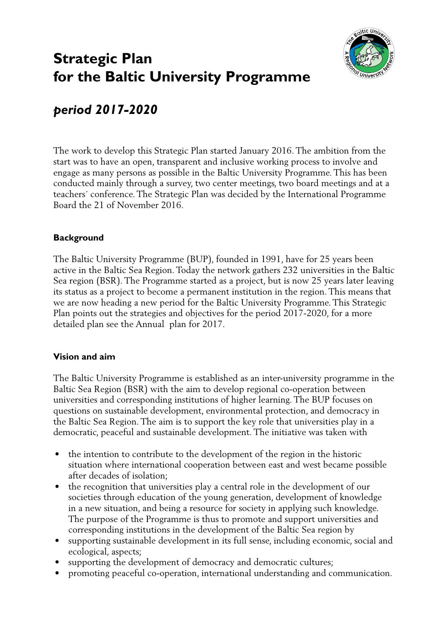# **Strategic Plan for the Baltic University Programme**



## *period 2017-2020*

The work to develop this Strategic Plan started January 2016. The ambition from the start was to have an open, transparent and inclusive working process to involve and engage as many persons as possible in the Baltic University Programme. This has been conducted mainly through a survey, two center meetings, two board meetings and at a teachers´ conference. The Strategic Plan was decided by the International Programme Board the 21 of November 2016.

## **Background**

The Baltic University Programme (BUP), founded in 1991, have for 25 years been active in the Baltic Sea Region. Today the network gathers 232 universities in the Baltic Sea region (BSR). The Programme started as a project, but is now 25 years later leaving its status as a project to become a permanent institution in the region. This means that we are now heading a new period for the Baltic University Programme. This Strategic Plan points out the strategies and objectives for the period 2017-2020, for a more detailed plan see the Annual plan for 2017.

## **Vision and aim**

The Baltic University Programme is established as an inter-university programme in the Baltic Sea Region (BSR) with the aim to develop regional co-operation between universities and corresponding institutions of higher learning. The BUP focuses on questions on sustainable development, environmental protection, and democracy in the Baltic Sea Region. The aim is to support the key role that universities play in a democratic, peaceful and sustainable development. The initiative was taken with

- the intention to contribute to the development of the region in the historic situation where international cooperation between east and west became possible after decades of isolation;
- the recognition that universities play a central role in the development of our societies through education of the young generation, development of knowledge in a new situation, and being a resource for society in applying such knowledge. The purpose of the Programme is thus to promote and support universities and corresponding institutions in the development of the Baltic Sea region by
- supporting sustainable development in its full sense, including economic, social and ecological, aspects;
- supporting the development of democracy and democratic cultures;
- promoting peaceful co-operation, international understanding and communication.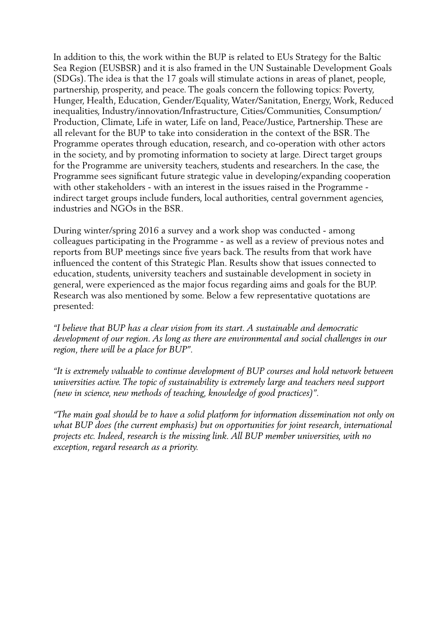In addition to this, the work within the BUP is related to EUs Strategy for the Baltic Sea Region (EUSBSR) and it is also framed in the UN Sustainable Development Goals (SDGs). The idea is that the 17 goals will stimulate actions in areas of planet, people, partnership, prosperity, and peace. The goals concern the following topics: Poverty, Hunger, Health, Education, Gender/Equality, Water/Sanitation, Energy, Work, Reduced inequalities, Industry/innovation/Infrastructure, Cities/Communities, Consumption/ Production, Climate, Life in water, Life on land, Peace/Justice, Partnership. These are all relevant for the BUP to take into consideration in the context of the BSR. The Programme operates through education, research, and co-operation with other actors in the society, and by promoting information to society at large. Direct target groups for the Programme are university teachers, students and researchers. In the case, the Programme sees significant future strategic value in developing/expanding cooperation with other stakeholders - with an interest in the issues raised in the Programme indirect target groups include funders, local authorities, central government agencies, industries and NGOs in the BSR.

During winter/spring 2016 a survey and a work shop was conducted - among colleagues participating in the Programme - as well as a review of previous notes and reports from BUP meetings since five years back. The results from that work have influenced the content of this Strategic Plan. Results show that issues connected to education, students, university teachers and sustainable development in society in general, were experienced as the major focus regarding aims and goals for the BUP. Research was also mentioned by some. Below a few representative quotations are presented:

*"I believe that BUP has a clear vision from its start. A sustainable and democratic development of our region. As long as there are environmental and social challenges in our region, there will be a place for BUP".*

*"It is extremely valuable to continue development of BUP courses and hold network between universities active. The topic of sustainability is extremely large and teachers need support (new in science, new methods of teaching, knowledge of good practices)".*

*"The main goal should be to have a solid platform for information dissemination not only on what BUP does (the current emphasis) but on opportunities for joint research, international projects etc. Indeed, research is the missing link. All BUP member universities, with no exception, regard research as a priority.*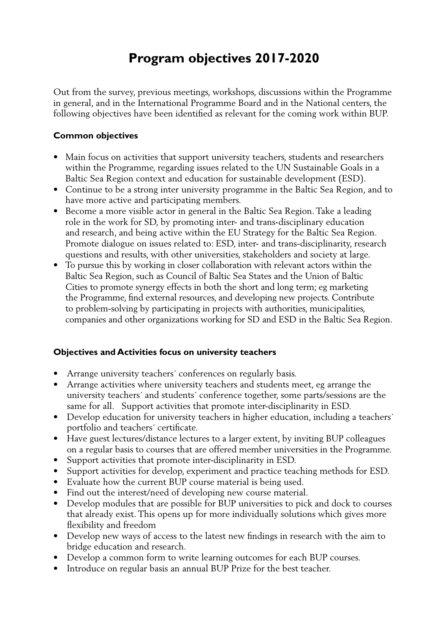## **Program objectives 2017-2020**

Out from the survey, previous meetings, workshops, discussions within the Programme in general, and in the International Programme Board and in the National centers, the following objectives have been identified as relevant for the coming work within BUP.

#### **Common objectives**

- Main focus on activities that support university teachers, students and researchers within the Programme, regarding issues related to the UN Sustainable Goals in a Baltic Sea Region context and education for sustainable development (ESD).
- Continue to be a strong inter university programme in the Baltic Sea Region, and to have more active and participating members.
- Become a more visible actor in general in the Baltic Sea Region. Take a leading role in the work for SD, by promoting inter- and trans-disciplinary education and research, and being active within the EU Strategy for the Baltic Sea Region. Promote dialogue on issues related to: ESD, inter- and trans-disciplinarity, research questions and results, with other universities, stakeholders and society at large.
- To pursue this by working in closer collaboration with relevant actors within the Baltic Sea Region, such as Council of Baltic Sea States and the Union of Baltic Cities to promote synergy effects in both the short and long term; eg marketing the Programme, find external resources, and developing new projects. Contribute to problem-solving by participating in projects with authorities, municipalities, companies and other organizations working for SD and ESD in the Baltic Sea Region.

## **Objectives and Activities focus on university teachers**

- Arrange university teachers' conferences on regularly basis.
- Arrange activities where university teachers and students meet, eg arrange the university teachers´ and students´ conference together, some parts/sessions are the same for all. Support activities that promote inter-disciplinarity in ESD.
- Develop education for university teachers in higher education, including a teachers' portfolio and teachers´ certificate.
- Have guest lectures/distance lectures to a larger extent, by inviting BUP colleagues on a regular basis to courses that are offered member universities in the Programme.
- Support activities that promote inter-disciplinarity in ESD.
- Support activities for develop, experiment and practice teaching methods for ESD.
- Evaluate how the current BUP course material is being used.
- Find out the interest/need of developing new course material.
- Develop modules that are possible for BUP universities to pick and dock to courses that already exist. This opens up for more individually solutions which gives more flexibility and freedom
- Develop new ways of access to the latest new findings in research with the aim to bridge education and research.
- Develop a common form to write learning outcomes for each BUP courses.
- Introduce on regular basis an annual BUP Prize for the best teacher.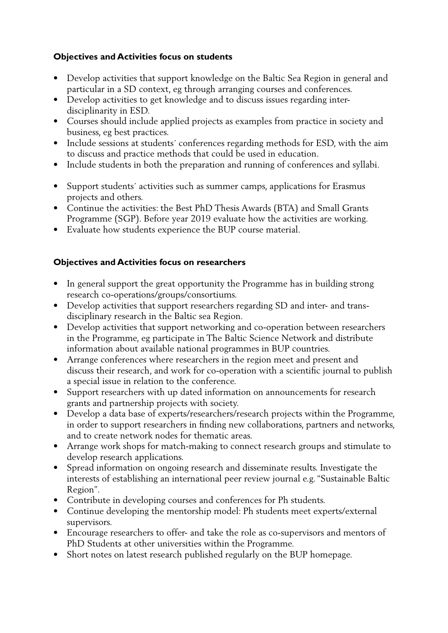## **Objectives and Activities focus on students**

- Develop activities that support knowledge on the Baltic Sea Region in general and particular in a SD context, eg through arranging courses and conferences.
- Develop activities to get knowledge and to discuss issues regarding interdisciplinarity in ESD.
- Courses should include applied projects as examples from practice in society and business, eg best practices.
- Include sessions at students´ conferences regarding methods for ESD, with the aim to discuss and practice methods that could be used in education.
- Include students in both the preparation and running of conferences and syllabi.
- Support students´ activities such as summer camps, applications for Erasmus projects and others.
- Continue the activities: the Best PhD Thesis Awards (BTA) and Small Grants Programme (SGP). Before year 2019 evaluate how the activities are working.
- Evaluate how students experience the BUP course material.

## **Objectives and Activities focus on researchers**

- In general support the great opportunity the Programme has in building strong research co-operations/groups/consortiums.
- Develop activities that support researchers regarding SD and inter- and transdisciplinary research in the Baltic sea Region.
- Develop activities that support networking and co-operation between researchers in the Programme, eg participate in The Baltic Science Network and distribute information about available national programmes in BUP countries.
- Arrange conferences where researchers in the region meet and present and discuss their research, and work for co-operation with a scientific journal to publish a special issue in relation to the conference.
- Support researchers with up dated information on announcements for research grants and partnership projects with society.
- Develop a data base of experts/researchers/research projects within the Programme, in order to support researchers in finding new collaborations, partners and networks, and to create network nodes for thematic areas.
- Arrange work shops for match-making to connect research groups and stimulate to develop research applications.
- Spread information on ongoing research and disseminate results. Investigate the interests of establishing an international peer review journal e.g. "Sustainable Baltic Region".
- Contribute in developing courses and conferences for Ph students.
- Continue developing the mentorship model: Ph students meet experts/external supervisors.
- Encourage researchers to offer- and take the role as co-supervisors and mentors of PhD Students at other universities within the Programme.
- Short notes on latest research published regularly on the BUP homepage.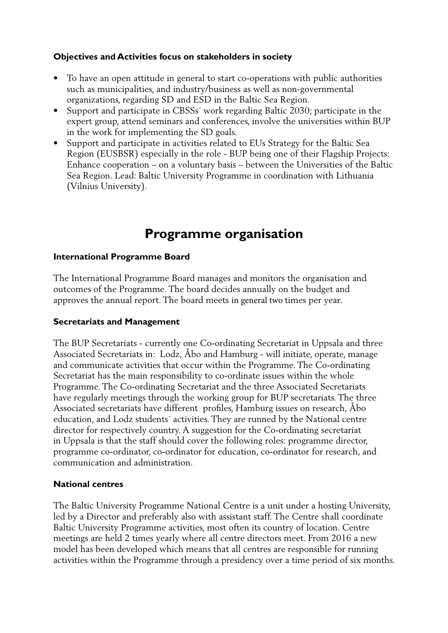### **Objectives and Activities focus on stakeholders in society**

- To have an open attitude in general to start co-operations with public authorities such as municipalities, and industry/business as well as non-governmental organizations, regarding SD and ESD in the Baltic Sea Region.
- Support and participate in CBSSs' work regarding Baltic 2030; participate in the expert group, attend seminars and conferences, involve the universities within BUP in the work for implementing the SD goals.
- Support and participate in activities related to EUs Strategy for the Baltic Sea Region (EUSBSR) especially in the role - BUP being one of their Flagship Projects: Enhance cooperation – on a voluntary basis – between the Universities of the Baltic Sea Region. Lead: Baltic University Programme in coordination with Lithuania (Vilnius University).

## **Programme organisation**

#### **International Programme Board**

The International Programme Board manages and monitors the organisation and outcomes of the Programme. The board decides annually on the budget and approves the annual report. The board meets in general two times per year.

### **Secretariats and Management**

The BUP Secretariats - currently one Co-ordinating Secretariat in Uppsala and three Associated Secretariats in: Lodz, Åbo and Hamburg - will initiate, operate, manage and communicate activities that occur within the Programme. The Co-ordinating Secretariat has the main responsibility to co-ordinate issues within the whole Programme. The Co-ordinating Secretariat and the three Associated Secretariats have regularly meetings through the working group for BUP secretariats. The three Associated secretariats have different profiles, Hamburg issues on research, Åbo education, and Lodz students´ activities. They are runned by the National centre director for respectively country. A suggestion for the Co-ordinating secretariat in Uppsala is that the staff should cover the following roles: programme director, programme co-ordinator, co-ordinator for education, co-ordinator for research, and communication and administration.

#### **National centres**

The Baltic University Programme National Centre is a unit under a hosting University, led by a Director and preferably also with assistant staff. The Centre shall coordinate Baltic University Programme activities, most often its country of location. Centre meetings are held 2 times yearly where all centre directors meet. From 2016 a new model has been developed which means that all centres are responsible for running activities within the Programme through a presidency over a time period of six months.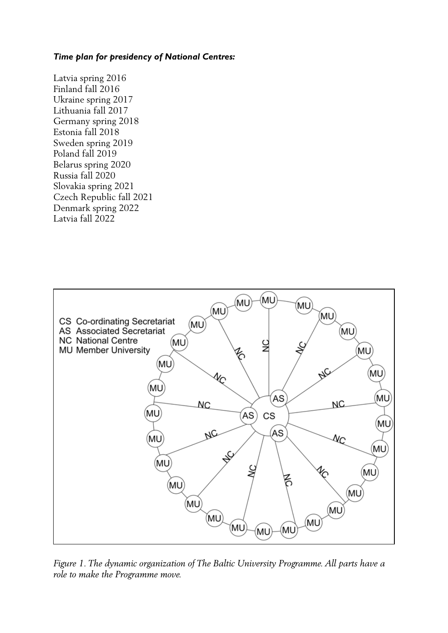#### *Time plan for presidency of National Centres:*

Latvia spring 2016 Finland fall 2016 Ukraine spring 2017 Lithuania fall 2017 Germany spring 2018 Estonia fall 2018 Sweden spring 2019 Poland fall 2019 Belarus spring 2020 Russia fall 2020 Slovakia spring 2021 Czech Republic fall 2021 Denmark spring 2022 Latvia fall 2022



*Figure 1. The dynamic organization of The Baltic University Programme. All parts have a role to make the Programme move.*